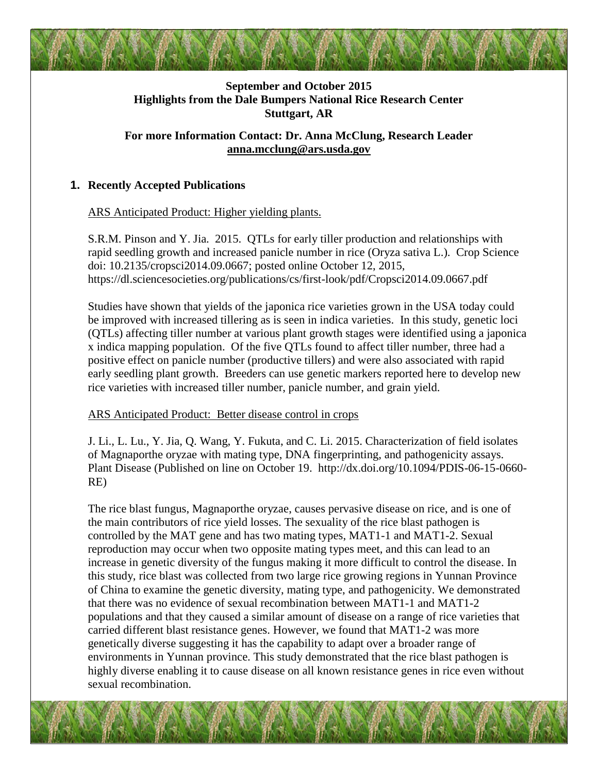# **September and October 2015 Highlights from the Dale Bumpers National Rice Research Center Stuttgart, AR**

**For more Information Contact: Dr. Anna McClung, Research Leader [anna.mcclung@ars.usda.gov](mailto:anna.mcclung@ars.usda.gov)**

#### **1. Recently Accepted Publications**

ARS Anticipated Product: Higher yielding plants.

S.R.M. Pinson and Y. Jia. 2015. QTLs for early tiller production and relationships with rapid seedling growth and increased panicle number in rice (Oryza sativa L.). Crop Science doi: 10.2135/cropsci2014.09.0667; posted online October 12, 2015, https://dl.sciencesocieties.org/publications/cs/first-look/pdf/Cropsci2014.09.0667.pdf

Studies have shown that yields of the japonica rice varieties grown in the USA today could be improved with increased tillering as is seen in indica varieties. In this study, genetic loci (QTLs) affecting tiller number at various plant growth stages were identified using a japonica x indica mapping population. Of the five QTLs found to affect tiller number, three had a positive effect on panicle number (productive tillers) and were also associated with rapid early seedling plant growth. Breeders can use genetic markers reported here to develop new rice varieties with increased tiller number, panicle number, and grain yield.

#### ARS Anticipated Product: Better disease control in crops

J. Li., L. Lu., Y. Jia, Q. Wang, Y. Fukuta, and C. Li. 2015. Characterization of field isolates of Magnaporthe oryzae with mating type, DNA fingerprinting, and pathogenicity assays. Plant Disease (Published on line on October 19. http://dx.doi.org/10.1094/PDIS-06-15-0660- RE)

The rice blast fungus, Magnaporthe oryzae, causes pervasive disease on rice, and is one of the main contributors of rice yield losses. The sexuality of the rice blast pathogen is controlled by the MAT gene and has two mating types, MAT1-1 and MAT1-2. Sexual reproduction may occur when two opposite mating types meet, and this can lead to an increase in genetic diversity of the fungus making it more difficult to control the disease. In this study, rice blast was collected from two large rice growing regions in Yunnan Province of China to examine the genetic diversity, mating type, and pathogenicity. We demonstrated that there was no evidence of sexual recombination between MAT1-1 and MAT1-2 populations and that they caused a similar amount of disease on a range of rice varieties that carried different blast resistance genes. However, we found that MAT1-2 was more genetically diverse suggesting it has the capability to adapt over a broader range of environments in Yunnan province. This study demonstrated that the rice blast pathogen is highly diverse enabling it to cause disease on all known resistance genes in rice even without sexual recombination.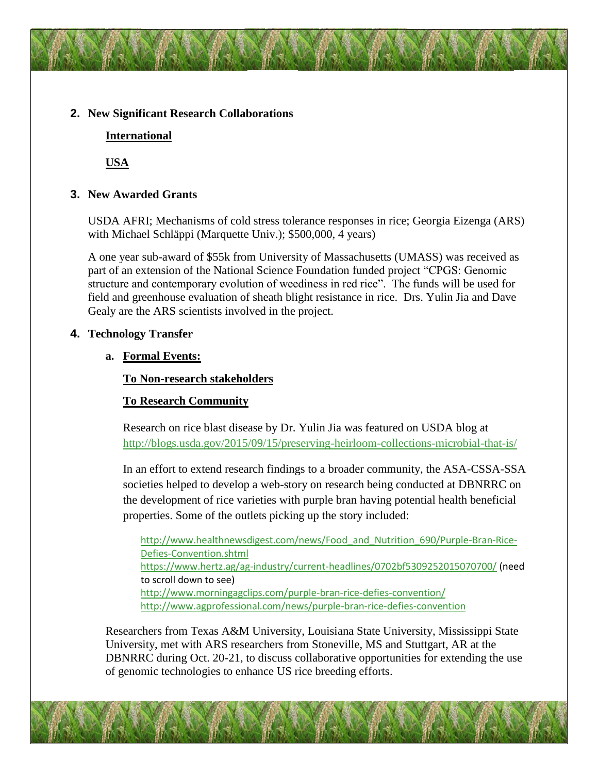#### **2. New Significant Research Collaborations**

#### **International**

**USA**

## **3. New Awarded Grants**

USDA AFRI; Mechanisms of cold stress tolerance responses in rice; Georgia Eizenga (ARS) with Michael Schläppi (Marquette Univ.); \$500,000, 4 years)

A one year sub-award of \$55k from University of Massachusetts (UMASS) was received as part of an extension of the National Science Foundation funded project "CPGS: Genomic structure and contemporary evolution of weediness in red rice". The funds will be used for field and greenhouse evaluation of sheath blight resistance in rice. Drs. Yulin Jia and Dave Gealy are the ARS scientists involved in the project.

## **4. Technology Transfer**

## **a. Formal Events:**

## **To Non-research stakeholders**

# **To Research Community**

Research on rice blast disease by Dr. Yulin Jia was featured on USDA blog at <http://blogs.usda.gov/2015/09/15/preserving-heirloom-collections-microbial-that-is/>

In an effort to extend research findings to a broader community, the ASA-CSSA-SSA societies helped to develop a web-story on research being conducted at DBNRRC on the development of rice varieties with purple bran having potential health beneficial properties. Some of the outlets picking up the story included:

http://www.healthnewsdigest.com/news/Food and Nutrition 690/Purple-Bran-Rice-[Defies-Convention.shtml](http://www.healthnewsdigest.com/news/Food_and_Nutrition_690/Purple-Bran-Rice-Defies-Convention.shtml) <https://www.hertz.ag/ag-industry/current-headlines/0702bf5309252015070700/> (need to scroll down to see) <http://www.morningagclips.com/purple-bran-rice-defies-convention/> <http://www.agprofessional.com/news/purple-bran-rice-defies-convention>

Researchers from Texas A&M University, Louisiana State University, Mississippi State University, met with ARS researchers from Stoneville, MS and Stuttgart, AR at the DBNRRC during Oct. 20-21, to discuss collaborative opportunities for extending the use of genomic technologies to enhance US rice breeding efforts.